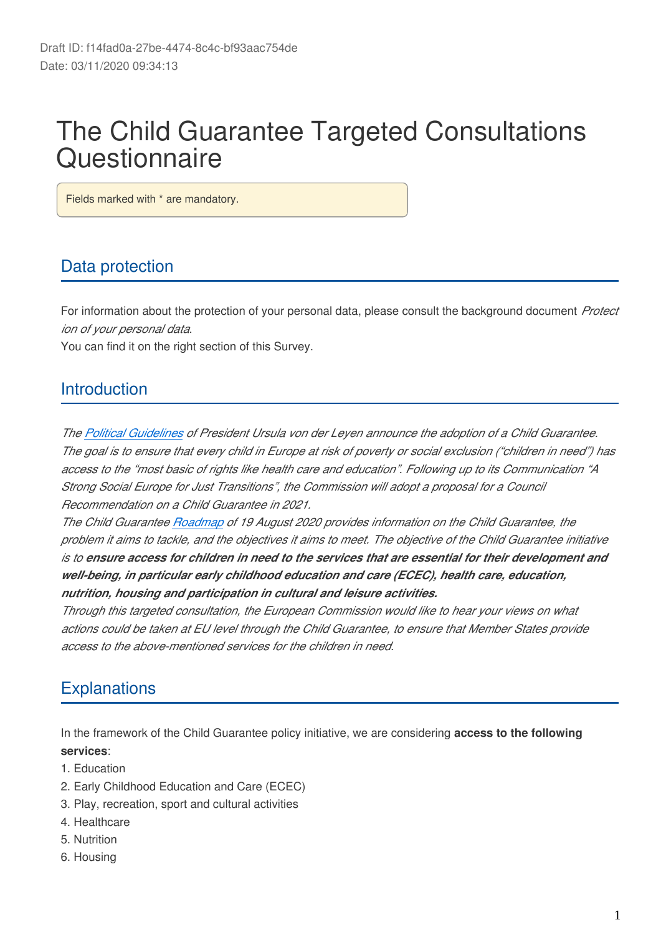# The Child Guarantee Targeted Consultations **Questionnaire**

Fields marked with \* are mandatory.

## Data protection

For information about the protection of your personal data, please consult the background document *Protect ion of your personal data*.

You can find it on the right section of this Survey.

## **Introduction**

*The [Political Guidelines](https://ec.europa.eu/commission/sites/beta-political/files/political-guidelines-next-commission_en.pdf) of President Ursula von der Leyen announce the adoption of a Child Guarantee. The goal is to ensure that every child in Europe at risk of poverty or social exclusion ("children in need") has access to the "most basic of rights like health care and education". Following up to its Communication "A Strong Social Europe for Just Transitions", the Commission will adopt a proposal for a Council Recommendation on a Child Guarantee in 2021.*

*The Child Guarantee [Roadmap](https://ec.europa.eu/info/law/better-regulation/have-your-say/initiatives/12565-European-Child-Guarantee-) of 19 August 2020 provides information on the Child Guarantee, the problem it aims to tackle, and the objectives it aims to meet. The objective of the Child Guarantee initiative is to ensure access for children in need to the services that are essential for their development and well-being, in particular early childhood education and care (ECEC), health care, education, nutrition, housing and participation in cultural and leisure activities.*

*Through this targeted consultation, the European Commission would like to hear your views on what actions could be taken at EU level through the Child Guarantee, to ensure that Member States provide access to the above-mentioned services for the children in need.*

## **Explanations**

In the framework of the Child Guarantee policy initiative, we are considering **access to the following services**:

- 1. Education
- 2. Early Childhood Education and Care (ECEC)
- 3. Play, recreation, sport and cultural activities
- 4. Healthcare
- 5. Nutrition
- 6. Housing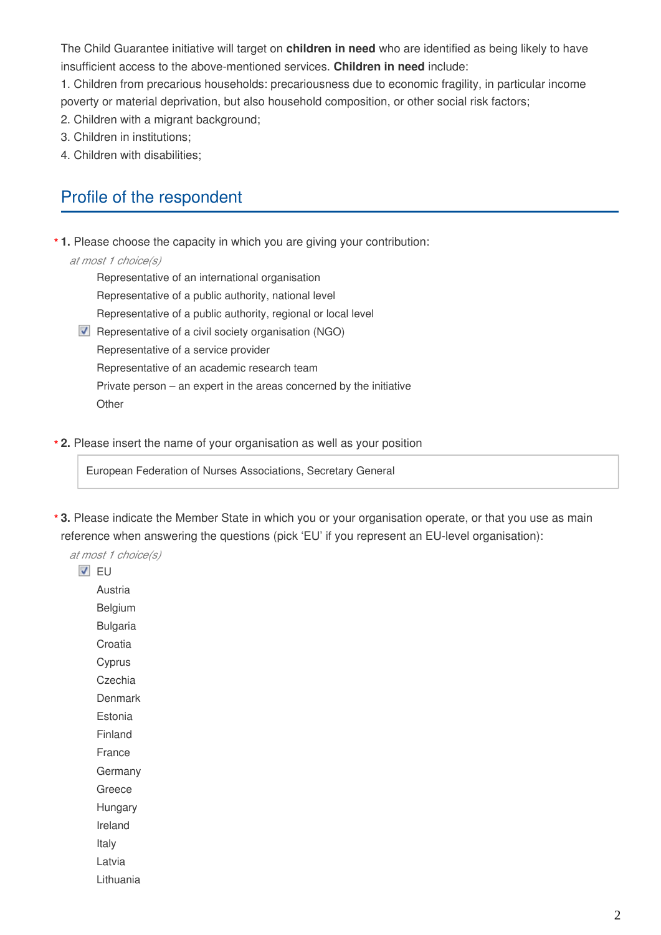The Child Guarantee initiative will target on **children in need** who are identified as being likely to have insufficient access to the above-mentioned services. **Children in need** include:

1. Children from precarious households: precariousness due to economic fragility, in particular income poverty or material deprivation, but also household composition, or other social risk factors;

- 2. Children with a migrant background;
- 3. Children in institutions;
- 4. Children with disabilities;

### Profile of the respondent

**1.** Please choose the capacity in which you are giving your contribution: **\***

#### *at most 1 choice(s)*

- Representative of an international organisation Representative of a public authority, national level Representative of a public authority, regional or local level  $\blacksquare$  Representative of a civil society organisation (NGO)
- Representative of a service provider Representative of an academic research team Private person – an expert in the areas concerned by the initiative **Other**
- **2.** Please insert the name of your organisation as well as your position **\***

European Federation of Nurses Associations, Secretary General

**3.** Please indicate the Member State in which you or your organisation operate, or that you use as main **\***reference when answering the questions (pick 'EU' if you represent an EU-level organisation):

*at most 1 choice(s)*

**V** FU

Austria

Belgium

Bulgaria

Croatia

**Cyprus** 

**Czechia Denmark** 

Estonia

Finland

France

**Germany** 

Greece

Hungary

Ireland

Italy

Latvia

Lithuania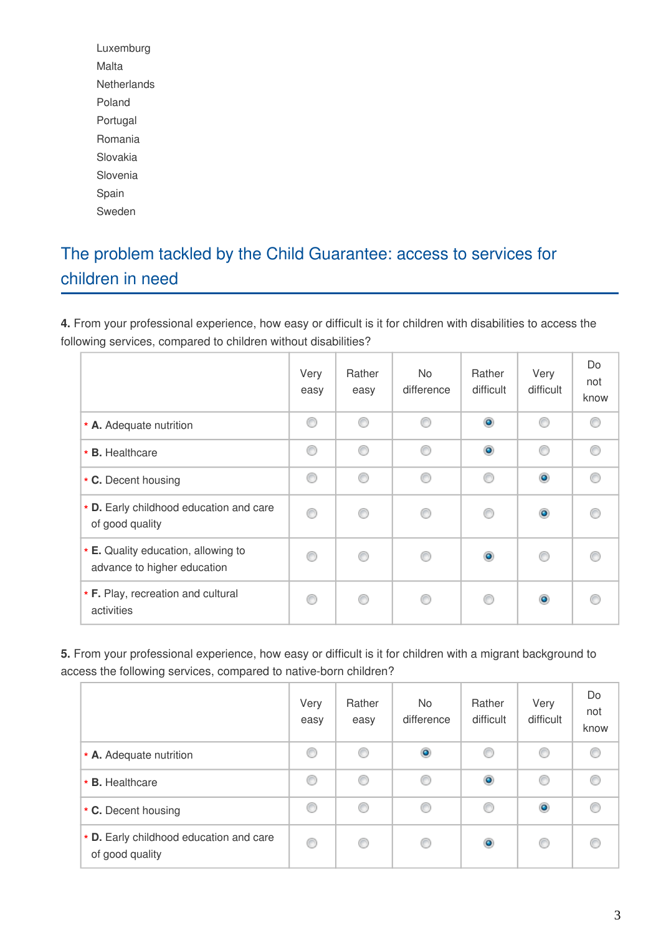Luxemburg Malta **Netherlands** Poland Portugal Romania Slovakia Slovenia Spain Sweden

## The problem tackled by the Child Guarantee: access to services for children in need

**4.** From your professional experience, how easy or difficult is it for children with disabilities to access the following services, compared to children without disabilities?

|                                                                    | Very<br>easy | Rather<br>easy | <b>No</b><br>difference | Rather<br>difficult | Very<br>difficult | Do<br>not<br>know |
|--------------------------------------------------------------------|--------------|----------------|-------------------------|---------------------|-------------------|-------------------|
| * A. Adequate nutrition                                            | ∩            | ⊙              | ⊙                       | $\bullet$           | ∩                 |                   |
| * B. Healthcare                                                    | ⊙            | ⋒              | ∩                       | $\bullet$           | ∩                 |                   |
| * C. Decent housing                                                | ⋒            |                | ⋒                       | €                   | $_{\odot}$        |                   |
| * D. Early childhood education and care<br>of good quality         | ⊙            |                | ∩                       | €                   | $\circledcirc$    |                   |
| * E. Quality education, allowing to<br>advance to higher education |              |                | €                       | $\bullet$           | ⋒                 |                   |
| * F. Play, recreation and cultural<br>activities                   | ⋒            |                |                         | ⋒                   | $\bullet$         |                   |

**5.** From your professional experience, how easy or difficult is it for children with a migrant background to access the following services, compared to native-born children?

|                                                            | Very<br>easy | Rather<br>easy | No.<br>difference | Rather<br>difficult | Very<br>difficult | Do<br>not<br>know |
|------------------------------------------------------------|--------------|----------------|-------------------|---------------------|-------------------|-------------------|
| * A. Adequate nutrition                                    | O            | ⋒              | $\bullet$         | €                   | ◎                 |                   |
| * B. Healthcare                                            | ◎            | ⊙              | O                 | $\bullet$           | ⊙                 |                   |
| * C. Decent housing                                        | O            | ⊙              | ⊙                 | €                   | $\bullet$         |                   |
| * D. Early childhood education and care<br>of good quality | 0            | ◎              | ⊙                 | $\bullet$           | ◎                 | C                 |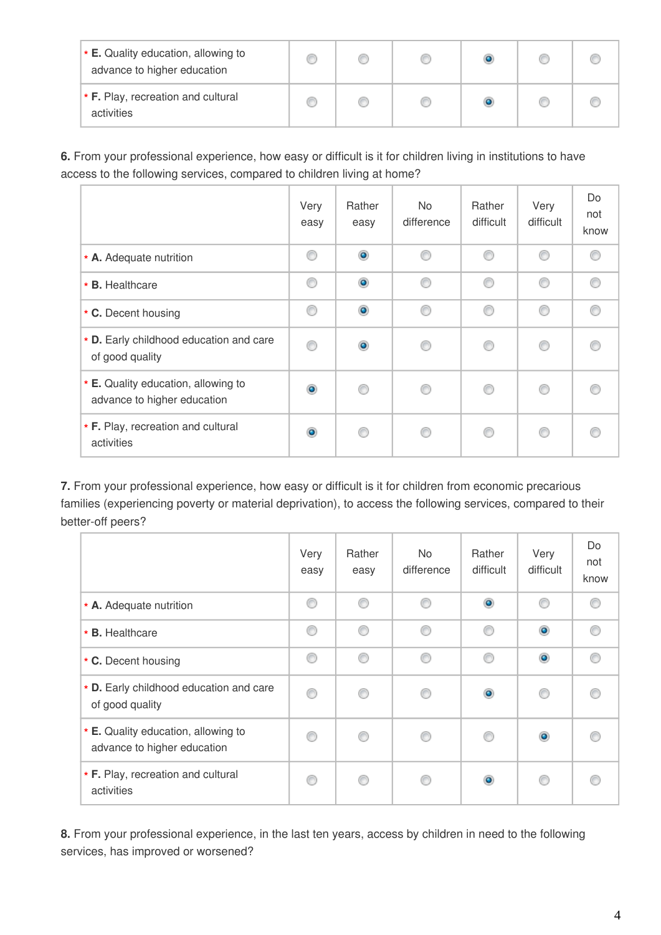| $\star$ E. Quality education, allowing to<br>advance to higher education |  |  |  |
|--------------------------------------------------------------------------|--|--|--|
| $\star$ F. Play, recreation and cultural<br>activities                   |  |  |  |

**6.** From your professional experience, how easy or difficult is it for children living in institutions to have access to the following services, compared to children living at home?

|                                                                    | Very<br>easy | Rather<br>easy | No.<br>difference | Rather<br>difficult | Very<br>difficult | Do<br>not<br>know |
|--------------------------------------------------------------------|--------------|----------------|-------------------|---------------------|-------------------|-------------------|
| * A. Adequate nutrition                                            | ⊙            | $\bullet$      | ⋒                 | ⋒                   | ∩                 |                   |
| * B. Healthcare                                                    | ⊙            | $\bullet$      | ∩                 | ◎                   | ∩                 |                   |
| * C. Decent housing                                                | ◎            | $\bullet$      | ⊙                 | ◎                   | ∩                 |                   |
| * D. Early childhood education and care<br>of good quality         | ∩            | ۵              |                   | €                   |                   |                   |
| * E. Quality education, allowing to<br>advance to higher education | ۰            |                |                   | €                   | ∩                 |                   |
| * F. Play, recreation and cultural<br>activities                   | ۰            |                |                   | C                   | ⋒                 |                   |

**7.** From your professional experience, how easy or difficult is it for children from economic precarious families (experiencing poverty or material deprivation), to access the following services, compared to their better-off peers?

|                                                                    | Very<br>easy | Rather<br>easy | No.<br>difference | Rather<br>difficult | Very<br>difficult | Do<br>not<br>know |
|--------------------------------------------------------------------|--------------|----------------|-------------------|---------------------|-------------------|-------------------|
| * A. Adequate nutrition                                            | ◎            | ⋒              | ⋒                 | $\circledcirc$      | ⊙                 |                   |
| * B. Healthcare                                                    | ⊙            | ⋒              | ∩                 | ⊙                   | $\circledcirc$    |                   |
| * C. Decent housing                                                | ∩            |                | ⋒                 | ∩                   | $\circledcirc$    |                   |
| * D. Early childhood education and care<br>of good quality         | ∩            |                |                   | $\circledcirc$      | ⋒                 |                   |
| * E. Quality education, allowing to<br>advance to higher education |              |                |                   | ◎                   | $\circledcirc$    |                   |
| * F. Play, recreation and cultural<br>activities                   | ⋒            |                |                   | $\bullet$           | ⋒                 |                   |

**8.** From your professional experience, in the last ten years, access by children in need to the following services, has improved or worsened?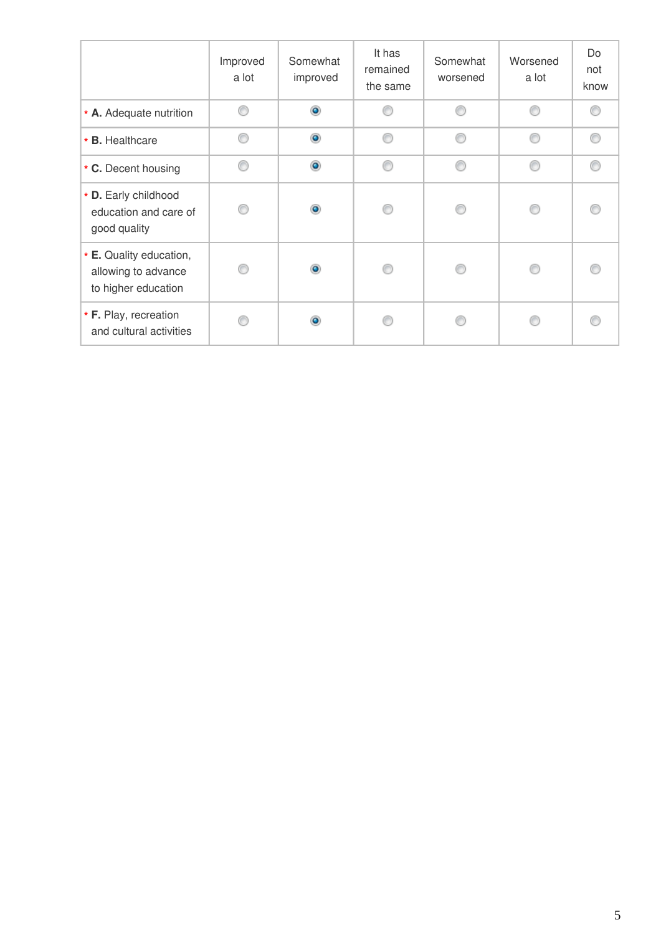|                                                                       | Improved<br>a lot | Somewhat<br>improved | It has<br>remained<br>the same | Somewhat<br>worsened | Worsened<br>a lot | Do<br>not<br>know |
|-----------------------------------------------------------------------|-------------------|----------------------|--------------------------------|----------------------|-------------------|-------------------|
| * A. Adequate nutrition                                               | ⊙                 | $\bullet$            | ⋒                              | ⋒                    | ⋒                 |                   |
| * B. Healthcare                                                       | €                 | $\circledcirc$       | ⋒                              | ⋒                    |                   |                   |
| * C. Decent housing                                                   | ⊙                 | $\bullet$            | ⊙                              | ◎                    | ⋒                 |                   |
| * D. Early childhood<br>education and care of<br>good quality         | A                 | $\bullet$            | ⋒                              | ⋒                    |                   |                   |
| * E. Quality education,<br>allowing to advance<br>to higher education | C                 | $\bullet$            |                                |                      |                   |                   |
| * F. Play, recreation<br>and cultural activities                      |                   | ۵                    |                                |                      |                   |                   |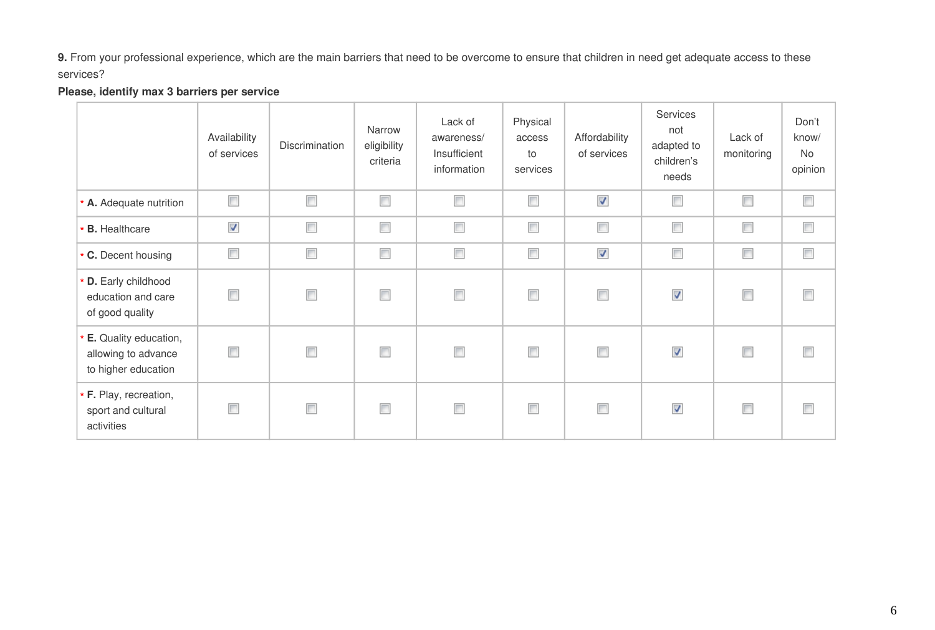**9.** From your professional experience, which are the main barriers that need to be overcome to ensure that children in need get adequate access to these services?

#### **Please, identify max 3 barriers per service**

|                                                                            | Availability<br>of services | Discrimination | Narrow<br>eligibility<br>criteria | Lack of<br>awareness/<br>Insufficient<br>information | Physical<br>access<br>to<br>services | Affordability<br>of services | Services<br>not<br>adapted to<br>children's<br>needs | Lack of<br>monitoring | Don't<br>know/<br>No<br>opinion |
|----------------------------------------------------------------------------|-----------------------------|----------------|-----------------------------------|------------------------------------------------------|--------------------------------------|------------------------------|------------------------------------------------------|-----------------------|---------------------------------|
| * A. Adequate nutrition                                                    | $\overline{\phantom{a}}$    | $\Box$         | $\Box$                            | $\overline{\phantom{a}}$                             | $\overline{\phantom{a}}$             | √                            | $\Box$                                               | $\Box$                | $\Box$                          |
| <b>B.</b> Healthcare                                                       | $\boldsymbol{J}$            | $\Box$         | $\Box$                            | $\overline{\phantom{a}}$                             | $\overline{\phantom{a}}$             | $\overline{\phantom{a}}$     | $\overline{\phantom{a}}$                             | $\Box$                | $\Box$                          |
| * C. Decent housing                                                        | $\overline{\phantom{a}}$    | $\Box$         | $\Box$                            | $\overline{\phantom{a}}$                             | $\Box$                               | $\boldsymbol{J}$             | $\Box$                                               | $\Box$                | $\Box$                          |
| * D. Early childhood<br>education and care<br>of good quality              |                             | $\Box$         | $\Box$                            | $\overline{\phantom{a}}$                             | $\Box$                               | $\Box$                       | √                                                    | $\Box$                |                                 |
| <b>E.</b> Quality education,<br>allowing to advance<br>to higher education | $\blacksquare$              | $\Box$         | $\Box$                            | $\overline{\phantom{a}}$                             | $\overline{\phantom{a}}$             | $\Box$                       | $\overline{\mathcal{J}}$                             | $\Box$                |                                 |
| * F. Play, recreation,<br>sport and cultural<br>activities                 |                             | $\Box$         | $\Box$                            | $\overline{\phantom{a}}$                             | $\Box$                               | $\Box$                       | √                                                    | $\Box$                |                                 |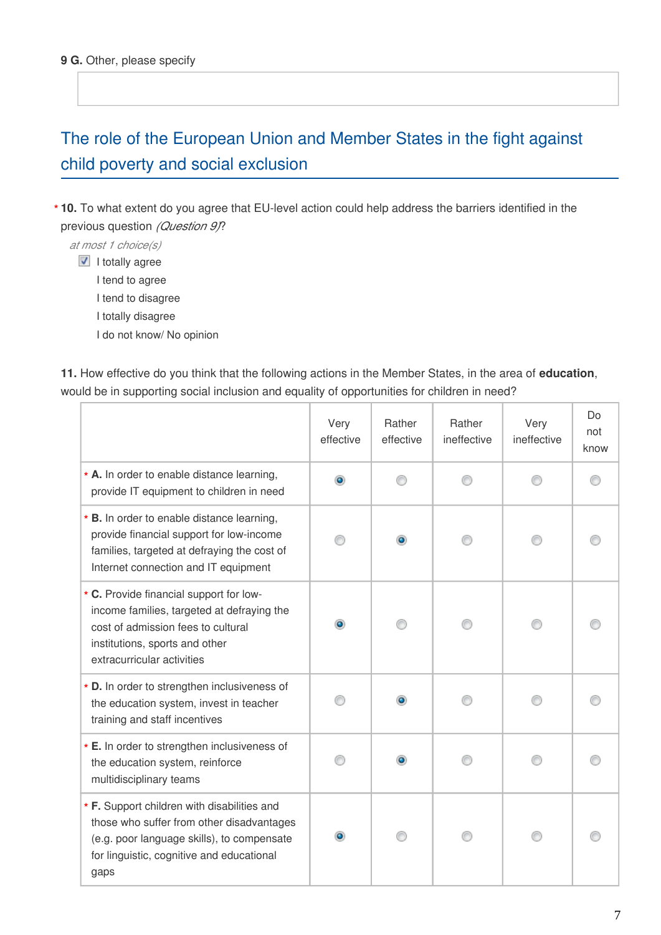## The role of the European Union and Member States in the fight against child poverty and social exclusion

**10.** To what extent do you agree that EU-level action could help address the barriers identified in the **\*** previous question *(Question 9)*?

*at most 1 choice(s)*

 $\blacksquare$  I totally agree

I tend to agree

I tend to disagree

I totally disagree

I do not know/ No opinion

**11.** How effective do you think that the following actions in the Member States, in the area of **education**, would be in supporting social inclusion and equality of opportunities for children in need?

|                                                                                                                                                                                             | Very<br>effective | Rather<br>effective | Rather<br>ineffective | Very<br>ineffective | Do<br>not<br>know |
|---------------------------------------------------------------------------------------------------------------------------------------------------------------------------------------------|-------------------|---------------------|-----------------------|---------------------|-------------------|
| * A. In order to enable distance learning,<br>provide IT equipment to children in need                                                                                                      | $\bullet$         |                     |                       |                     |                   |
| * B. In order to enable distance learning,<br>provide financial support for low-income<br>families, targeted at defraying the cost of<br>Internet connection and IT equipment               |                   |                     |                       |                     |                   |
| * C. Provide financial support for low-<br>income families, targeted at defraying the<br>cost of admission fees to cultural<br>institutions, sports and other<br>extracurricular activities |                   |                     |                       |                     |                   |
| * D. In order to strengthen inclusiveness of<br>the education system, invest in teacher<br>training and staff incentives                                                                    |                   |                     |                       |                     |                   |
| * E. In order to strengthen inclusiveness of<br>the education system, reinforce<br>multidisciplinary teams                                                                                  |                   |                     |                       |                     |                   |
| * F. Support children with disabilities and<br>those who suffer from other disadvantages<br>(e.g. poor language skills), to compensate<br>for linguistic, cognitive and educational<br>gaps |                   |                     |                       |                     |                   |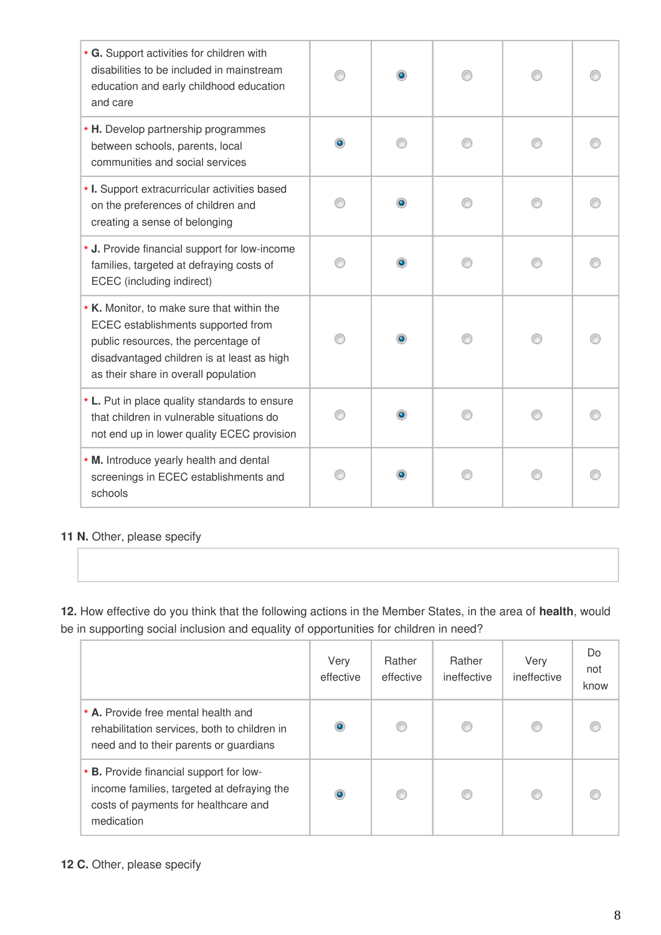| * G. Support activities for children with<br>disabilities to be included in mainstream<br>education and early childhood education<br>and care                                                                 |           | ۰ |  |  |
|---------------------------------------------------------------------------------------------------------------------------------------------------------------------------------------------------------------|-----------|---|--|--|
| * H. Develop partnership programmes<br>between schools, parents, local<br>communities and social services                                                                                                     | $\bullet$ |   |  |  |
| * I. Support extracurricular activities based<br>on the preferences of children and<br>creating a sense of belonging                                                                                          |           | ۰ |  |  |
| * J. Provide financial support for low-income<br>families, targeted at defraying costs of<br>ECEC (including indirect)                                                                                        |           |   |  |  |
| * K. Monitor, to make sure that within the<br>ECEC establishments supported from<br>public resources, the percentage of<br>disadvantaged children is at least as high<br>as their share in overall population |           | ۰ |  |  |
| * L. Put in place quality standards to ensure<br>that children in vulnerable situations do<br>not end up in lower quality ECEC provision                                                                      |           |   |  |  |
| * M. Introduce yearly health and dental<br>screenings in ECEC establishments and<br>schools                                                                                                                   |           |   |  |  |

#### **11 N.** Other, please specify

**12.** How effective do you think that the following actions in the Member States, in the area of **health**, would be in supporting social inclusion and equality of opportunities for children in need?

|                                                                                                                                             | Very<br>effective | Rather<br>effective | Rather<br>ineffective | Very<br>ineffective | Do<br>not<br>know |
|---------------------------------------------------------------------------------------------------------------------------------------------|-------------------|---------------------|-----------------------|---------------------|-------------------|
| * A. Provide free mental health and<br>rehabilitation services, both to children in<br>need and to their parents or guardians               | ۰                 | €                   |                       |                     |                   |
| * B. Provide financial support for low-<br>income families, targeted at defraying the<br>costs of payments for healthcare and<br>medication | $\bullet$         | C                   |                       |                     |                   |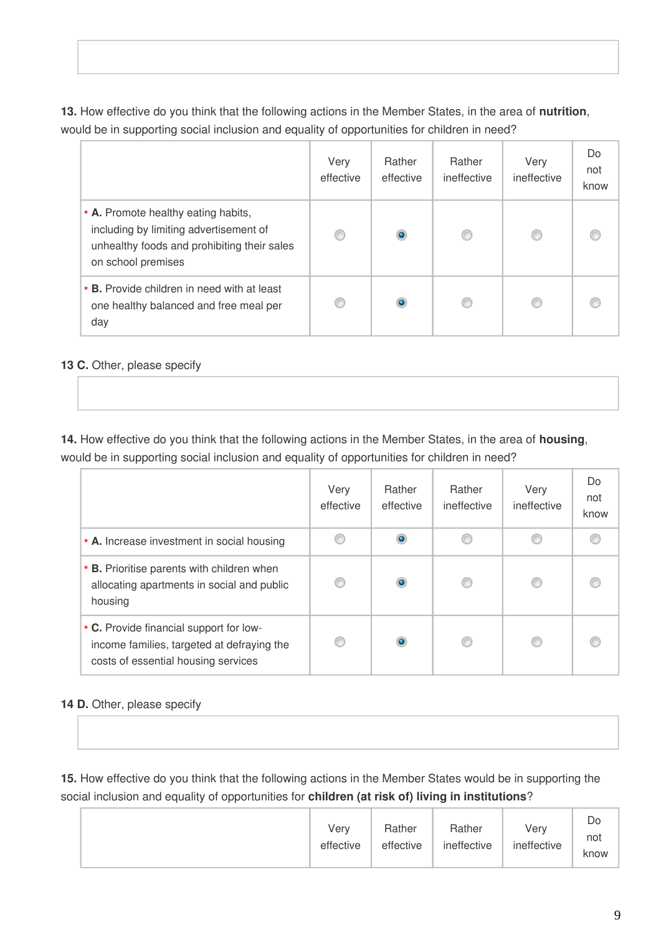**13.** How effective do you think that the following actions in the Member States, in the area of **nutrition**, would be in supporting social inclusion and equality of opportunities for children in need?

|                                                                                                                                                    | Very<br>effective | Rather<br>effective | Rather<br>ineffective | Very<br>ineffective | Do<br>not<br>know |
|----------------------------------------------------------------------------------------------------------------------------------------------------|-------------------|---------------------|-----------------------|---------------------|-------------------|
| * A. Promote healthy eating habits,<br>including by limiting advertisement of<br>unhealthy foods and prohibiting their sales<br>on school premises | ◎                 | $\bullet$           |                       |                     |                   |
| * <b>B.</b> Provide children in need with at least<br>one healthy balanced and free meal per<br>day                                                | €                 | $\bullet$           |                       |                     |                   |

#### **13 C.** Other, please specify

**14.** How effective do you think that the following actions in the Member States, in the area of **housing**, would be in supporting social inclusion and equality of opportunities for children in need?

|                                                                                                                              | Very<br>effective | Rather<br>effective | Rather<br>ineffective | Very<br>ineffective | Do<br>not<br>know |
|------------------------------------------------------------------------------------------------------------------------------|-------------------|---------------------|-----------------------|---------------------|-------------------|
| * A. Increase investment in social housing                                                                                   |                   | ۱                   |                       |                     |                   |
| * <b>B.</b> Prioritise parents with children when<br>allocating apartments in social and public<br>housing                   |                   | ۱                   |                       |                     |                   |
| * C. Provide financial support for low-<br>income families, targeted at defraying the<br>costs of essential housing services |                   | ۰                   |                       |                     |                   |

#### **14 D.** Other, please specify

**15.** How effective do you think that the following actions in the Member States would be in supporting the social inclusion and equality of opportunities for **children (at risk of) living in institutions**?

|  | Verv<br>effective | Rather<br>effective | Rather<br>ineffective | Very<br>ineffective | Dο<br>not<br>know |
|--|-------------------|---------------------|-----------------------|---------------------|-------------------|
|--|-------------------|---------------------|-----------------------|---------------------|-------------------|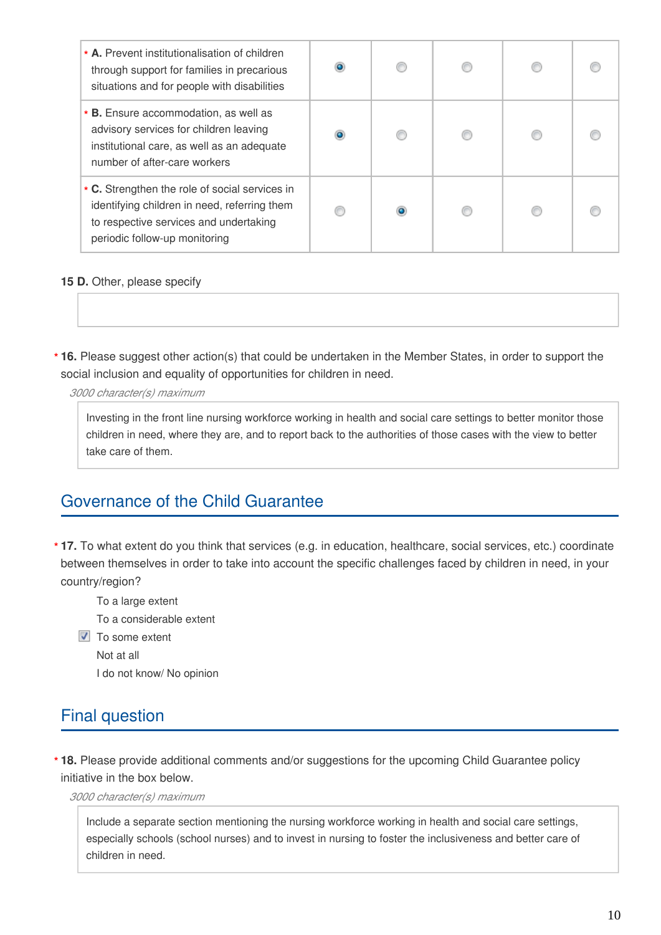| * A. Prevent institutionalisation of children<br>through support for families in precarious<br>situations and for people with disabilities                                | ۰ | € |  |  |
|---------------------------------------------------------------------------------------------------------------------------------------------------------------------------|---|---|--|--|
| * <b>B.</b> Ensure accommodation, as well as<br>advisory services for children leaving<br>institutional care, as well as an adequate<br>number of after-care workers      |   |   |  |  |
| * C. Strengthen the role of social services in<br>identifying children in need, referring them<br>to respective services and undertaking<br>periodic follow-up monitoring |   |   |  |  |

#### **15 D.** Other, please specify

**16.** Please suggest other action(s) that could be undertaken in the Member States, in order to support the **\*** social inclusion and equality of opportunities for children in need.

*3000 character(s) maximum*

Investing in the front line nursing workforce working in health and social care settings to better monitor those children in need, where they are, and to report back to the authorities of those cases with the view to better take care of them.

## Governance of the Child Guarantee

**17.** To what extent do you think that services (e.g. in education, healthcare, social services, etc.) coordinate **\*** between themselves in order to take into account the specific challenges faced by children in need, in your country/region?

To a large extent

To a considerable extent

 $\triangledown$  To some extent

Not at all

I do not know/ No opinion

## Final question

**18.** Please provide additional comments and/or suggestions for the upcoming Child Guarantee policy **\***initiative in the box below.

*3000 character(s) maximum*

Include a separate section mentioning the nursing workforce working in health and social care settings, especially schools (school nurses) and to invest in nursing to foster the inclusiveness and better care of children in need.